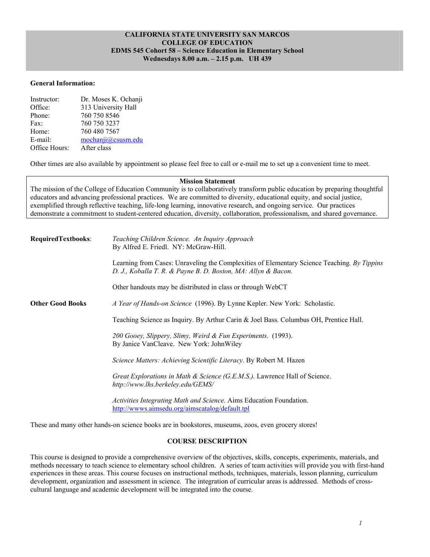## **CALIFORNIA STATE UNIVERSITY SAN MARCOS COLLEGE OF EDUCATION EDMS 545 Cohort 58 – Science Education in Elementary School Wednesdays 8.00 a.m. – 2.15 p.m. UH 439**

### **General Information:**

| Instructor:   | Dr. Moses K. Ochanji |
|---------------|----------------------|
| Office:       | 313 University Hall  |
| Phone:        | 760 750 8546         |
| Fax:          | 760 750 3237         |
| Home:         | 760 480 7567         |
| E-mail:       | mochanji@csusm.edu   |
| Office Hours: | After class          |

Other times are also available by appointment so please feel free to call or e-mail me to set up a convenient time to meet.

#### **Mission Statement**

The mission of the College of Education Community is to collaboratively transform public education by preparing thoughtful educators and advancing professional practices. We are committed to diversity, educational equity, and social justice, exemplified through reflective teaching, life-long learning, innovative research, and ongoing service. Our practices demonstrate a commitment to student-centered education, diversity, collaboration, professionalism, and shared governance.

| <b>RequiredTextbooks:</b> | Teaching Children Science. An Inquiry Approach<br>By Alfred E. Friedl. NY: McGraw-Hill.                                                                      |  |  |
|---------------------------|--------------------------------------------------------------------------------------------------------------------------------------------------------------|--|--|
|                           | Learning from Cases: Unraveling the Complexities of Elementary Science Teaching. By Tippins<br>D. J., Koballa T. R. & Payne B. D. Boston, MA: Allyn & Bacon. |  |  |
|                           | Other handouts may be distributed in class or through WebCT                                                                                                  |  |  |
| <b>Other Good Books</b>   | A Year of Hands-on Science (1996). By Lynne Kepler. New York: Scholastic.                                                                                    |  |  |
|                           | Teaching Science as Inquiry. By Arthur Carin & Joel Bass. Columbus OH, Prentice Hall.                                                                        |  |  |
|                           | 200 Gooey, Slippery, Slimy, Weird & Fun Experiments. (1993).<br>By Janice VanCleave. New York: JohnWiley                                                     |  |  |
|                           | Science Matters: Achieving Scientific Literacy. By Robert M. Hazen                                                                                           |  |  |
|                           | Great Explorations in Math & Science (G.E.M.S.). Lawrence Hall of Science.<br>http://www.lhs.berkeley.edu/GEMS/                                              |  |  |
|                           | Activities Integrating Math and Science. Aims Education Foundation.<br>http://wwws.aimsedu.org/aimscatalog/default.tpl                                       |  |  |

These and many other hands-on science books are in bookstores, museums, zoos, even grocery stores!

# **COURSE DESCRIPTION**

This course is designed to provide a comprehensive overview of the objectives, skills, concepts, experiments, materials, and methods necessary to teach science to elementary school children. A series of team activities will provide you with first-hand experiences in these areas. This course focuses on instructional methods, techniques, materials, lesson planning, curriculum development, organization and assessment in science. The integration of curricular areas is addressed. Methods of crosscultural language and academic development will be integrated into the course.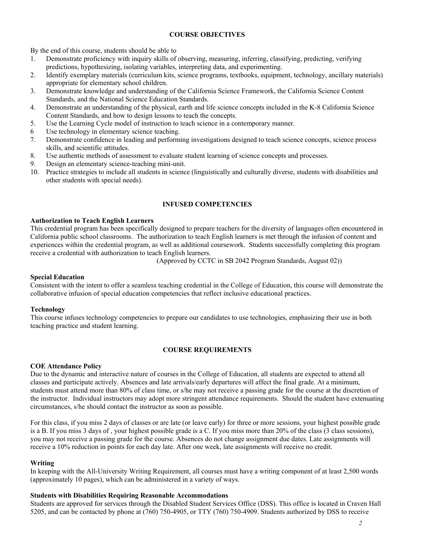## **COURSE OBJECTIVES**

By the end of this course, students should be able to

- 1. Demonstrate proficiency with inquiry skills of observing, measuring, inferring, classifying, predicting, verifying predictions, hypothesizing, isolating variables, interpreting data, and experimenting.
- 2. Identify exemplary materials (curriculum kits, science programs, textbooks, equipment, technology, ancillary materials) appropriate for elementary school children.
- 3. Demonstrate knowledge and understanding of the California Science Framework, the California Science Content Standards, and the National Science Education Standards.
- 4. Demonstrate an understanding of the physical, earth and life science concepts included in the K-8 California Science Content Standards, and how to design lessons to teach the concepts.
- 5. Use the Learning Cycle model of instruction to teach science in a contemporary manner.
- 6 Use technology in elementary science teaching.
- 7. Demonstrate confidence in leading and performing investigations designed to teach science concepts, science process skills, and scientific attitudes.
- 8. Use authentic methods of assessment to evaluate student learning of science concepts and processes.
- 9. Design an elementary science-teaching mini-unit.
- 10. Practice strategies to include all students in science (linguistically and culturally diverse, students with disabilities and other students with special needs).

### **INFUSED COMPETENCIES**

### **Authorization to Teach English Learners**

This credential program has been specifically designed to prepare teachers for the diversity of languages often encountered in California public school classrooms. The authorization to teach English learners is met through the infusion of content and experiences within the credential program, as well as additional coursework. Students successfully completing this program receive a credential with authorization to teach English learners.

(Approved by CCTC in SB 2042 Program Standards, August 02))

### **Special Education**

Consistent with the intent to offer a seamless teaching credential in the College of Education, this course will demonstrate the collaborative infusion of special education competencies that reflect inclusive educational practices.

#### **Technology**

This course infuses technology competencies to prepare our candidates to use technologies, emphasizing their use in both teaching practice and student learning.

## **COURSE REQUIREMENTS**

#### **COE Attendance Policy**

Due to the dynamic and interactive nature of courses in the College of Education, all students are expected to attend all classes and participate actively. Absences and late arrivals/early departures will affect the final grade. At a minimum, students must attend more than 80% of class time, or s/he may not receive a passing grade for the course at the discretion of the instructor. Individual instructors may adopt more stringent attendance requirements. Should the student have extenuating circumstances, s/he should contact the instructor as soon as possible.

For this class, if you miss 2 days of classes or are late (or leave early) for three or more sessions, your highest possible grade is a B. If you miss 3 days of , your highest possible grade is a C. If you miss more than 20% of the class (3 class sessions), you may not receive a passing grade for the course. Absences do not change assignment due dates. Late assignments will receive a 10% reduction in points for each day late. After one week, late assignments will receive no credit.

#### **Writing**

In keeping with the All-University Writing Requirement, all courses must have a writing component of at least 2,500 words (approximately 10 pages), which can be administered in a variety of ways.

### **Students with Disabilities Requiring Reasonable Accommodations**

Students are approved for services through the Disabled Student Services Office (DSS). This office is located in Craven Hall 5205, and can be contacted by phone at (760) 750-4905, or TTY (760) 750-4909. Students authorized by DSS to receive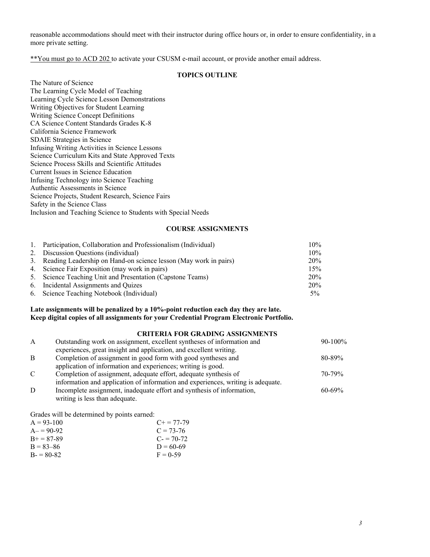reasonable accommodations should meet with their instructor during office hours or, in order to ensure confidentiality, in a more private setting.

\*\*You must go to ACD 202 to activate your CSUSM e-mail account, or provide another email address.

# **TOPICS OUTLINE**

The Nature of Science The Learning Cycle Model of Teaching Learning Cycle Science Lesson Demonstrations Writing Objectives for Student Learning Writing Science Concept Definitions CA Science Content Standards Grades K-8 California Science Framework SDAIE Strategies in Science Infusing Writing Activities in Science Lessons Science Curriculum Kits and State Approved Texts Science Process Skills and Scientific Attitudes Current Issues in Science Education Infusing Technology into Science Teaching Authentic Assessments in Science Science Projects, Student Research, Science Fairs Safety in the Science Class Inclusion and Teaching Science to Students with Special Needs

### **COURSE ASSIGNMENTS**

| $\mathbf{1}$ . | Participation, Collaboration and Professionalism (Individual)       | $10\%$ |
|----------------|---------------------------------------------------------------------|--------|
|                | 2. Discussion Questions (individual)                                | $10\%$ |
|                | 3. Reading Leadership on Hand-on science lesson (May work in pairs) | 20%    |
|                | 4. Science Fair Exposition (may work in pairs)                      | 15%    |
|                | 5. Science Teaching Unit and Presentation (Capstone Teams)          | 20%    |
|                | 6. Incidental Assignments and Quizes                                | 20%    |
|                | 6. Science Teaching Notebook (Individual)                           | $5\%$  |

## **Late assignments will be penalized by a 10%-point reduction each day they are late. Keep digital copies of all assignments for your Credential Program Electronic Portfolio.**

# **CRITERIA FOR GRADING ASSIGNMENTS**

| A             | Outstanding work on assignment, excellent syntheses of information and           | $90-100\%$  |
|---------------|----------------------------------------------------------------------------------|-------------|
|               | experiences, great insight and application, and excellent writing.               |             |
| B             | Completion of assignment in good form with good syntheses and                    | $80 - 89\%$ |
|               | application of information and experiences; writing is good.                     |             |
| $\mathcal{C}$ | Completion of assignment, adequate effort, adequate synthesis of                 | $70 - 79\%$ |
|               | information and application of information and experiences, writing is adequate. |             |
| D             | Incomplete assignment, inadequate effort and synthesis of information,           | $60 - 69\%$ |
|               | writing is less than adequate.                                                   |             |

Grades will be determined by points earned:

| $A = 93-100$  | $C_{\pm} = 77 - 79$ |
|---------------|---------------------|
| $A = 90-92$   | $C = 73-76$         |
| $B + 87-89$   | $C = 70-72$         |
| $B = 83 - 86$ | $D = 60-69$         |
| $B = 80-82$   | $F = 0.59$          |
|               |                     |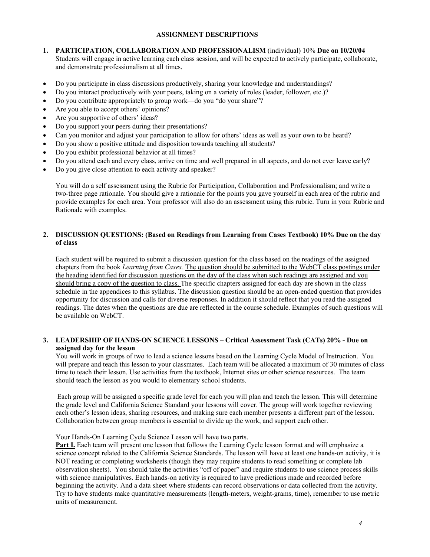# **ASSIGNMENT DESCRIPTIONS**

## **1. PARTICIPATION, COLLABORATION AND PROFESSIONALISM** (individual) 10% **Due on 10/20/04**

Students will engage in active learning each class session, and will be expected to actively participate, collaborate, and demonstrate professionalism at all times.

- Do you participate in class discussions productively, sharing your knowledge and understandings?
- Do you interact productively with your peers, taking on a variety of roles (leader, follower, etc.)?
- Do you contribute appropriately to group work—do you "do your share"?
- Are you able to accept others' opinions?
- Are you supportive of others' ideas?
- Do you support your peers during their presentations?
- Can you monitor and adjust your participation to allow for others' ideas as well as your own to be heard?
- Do you show a positive attitude and disposition towards teaching all students?
- Do you exhibit professional behavior at all times?
- Do you attend each and every class, arrive on time and well prepared in all aspects, and do not ever leave early?
- Do you give close attention to each activity and speaker?

You will do a self assessment using the Rubric for Participation, Collaboration and Professionalism; and write a two-three page rationale. You should give a rationale for the points you gave yourself in each area of the rubric and provide examples for each area. Your professor will also do an assessment using this rubric. Turn in your Rubric and Rationale with examples.

## **2. DISCUSSION QUESTIONS: (Based on Readings from Learning from Cases Textbook) 10% Due on the day of class**

Each student will be required to submit a discussion question for the class based on the readings of the assigned chapters from the book *Learning from Cases.* The question should be submitted to the WebCT class postings under the heading identified for discussion questions on the day of the class when such readings are assigned and you should bring a copy of the question to class. The specific chapters assigned for each day are shown in the class schedule in the appendices to this syllabus. The discussion question should be an open-ended question that provides opportunity for discussion and calls for diverse responses. In addition it should reflect that you read the assigned readings. The dates when the questions are due are reflected in the course schedule. Examples of such questions will be available on WebCT.

## **3. LEADERSHIP OF HANDS-ON SCIENCE LESSONS – Critical Assessment Task (CATs) 20% - Due on assigned day for the lesson**

You will work in groups of two to lead a science lessons based on the Learning Cycle Model of Instruction. You will prepare and teach this lesson to your classmates. Each team will be allocated a maximum of 30 minutes of class time to teach their lesson. Use activities from the textbook, Internet sites or other science resources. The team should teach the lesson as you would to elementary school students.

Each group will be assigned a specific grade level for each you will plan and teach the lesson. This will determine the grade level and California Science Standard your lessons will cover. The group will work together reviewing each other's lesson ideas, sharing resources, and making sure each member presents a different part of the lesson. Collaboration between group members is essential to divide up the work, and support each other.

Your Hands-On Learning Cycle Science Lesson will have two parts.

**Part I.** Each team will present one lesson that follows the Learning Cycle lesson format and will emphasize a science concept related to the California Science Standards. The lesson will have at least one hands-on activity, it is NOT reading or completing worksheets (though they may require students to read something or complete lab observation sheets). You should take the activities "off of paper" and require students to use science process skills with science manipulatives. Each hands-on activity is required to have predictions made and recorded before beginning the activity. And a data sheet where students can record observations or data collected from the activity. Try to have students make quantitative measurements (length-meters, weight-grams, time), remember to use metric units of measurement.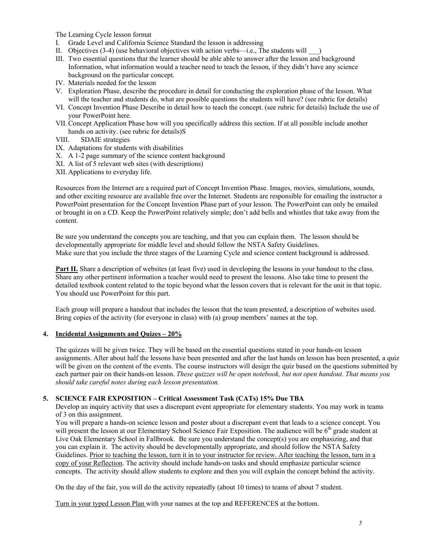The Learning Cycle lesson format

- I. Grade Level and California Science Standard the lesson is addressing
- II. Objectives  $(3-4)$  (use behavioral objectives with action verbs—i.e., The students will  $\qquad$ )
- III. Two essential questions that the learner should be able able to answer after the lesson and background Information, what information would a teacher need to teach the lesson, if they didn't have any science background on the particular concept.
- IV. Materials needed for the lesson
- V. Exploration Phase, describe the procedure in detail for conducting the exploration phase of the lesson. What will the teacher and students do, what are possible questions the students will have? (see rubric for details)
- VI. Concept Invention Phase Describe in detail how to teach the concept. (see rubric for details) Include the use of your PowerPoint here.
- VII.Concept Application Phase how will you specifically address this section. If at all possible include another hands on activity. (see rubric for details)S
- VIII. SDAIE strategies
- IX. Adaptations for students with disabilities
- X. A 1-2 page summary of the science content background
- XI. A list of 5 relevant web sites (with descriptions)
- XII. Applications to everyday life.

Resources from the Internet are a required part of Concept Invention Phase. Images, movies, simulations, sounds, and other exciting resource are available free over the Internet. Students are responsible for emailing the instructor a PowerPoint presentation for the Concept Invention Phase part of your lesson. The PowerPoint can only be emailed or brought in on a CD. Keep the PowerPoint relatively simple; don't add bells and whistles that take away from the content.

Be sure you understand the concepts you are teaching, and that you can explain them. The lesson should be developmentally appropriate for middle level and should follow the NSTA Safety Guidelines. Make sure that you include the three stages of the Learning Cycle and science content background is addressed.

**Part II.** Share a description of websites (at least five) used in developing the lessons in your handout to the class. Share any other pertinent information a teacher would need to present the lessons. Also take time to present the detailed textbook content related to the topic beyond what the lesson covers that is relevant for the unit in that topic. You should use PowerPoint for this part.

Each group will prepare a handout that includes the lesson that the team presented, a description of websites used. Bring copies of the activity (for everyone in class) with (a) group members' names at the top.

#### **4. Incidental Assignments and Quizes – 20%**

The quizzes will be given twice. They will be based on the essential questions stated in your hands-on lesson assignments. After about half the lessons have been presented and after the last hands on lesson has been presented, a quiz will be given on the content of the events. The course instructors will design the quiz based on the questions submitted by each partner pair on their hands-on lesson. *These quizzes will be open notebook, but not open handout. That means you should take careful notes during each lesson presentation.* 

## **5. SCIENCE FAIR EXPOSITION – Critical Assessment Task (CATs) 15% Due TBA**

Develop an inquiry activity that uses a discrepant event appropriate for elementary students. You may work in teams of 3 on this assignment.

You will prepare a hands-on science lesson and poster about a discrepant event that leads to a science concept. You will present the lesson at our Elementary School Science Fair Exposition. The audience will be  $6<sup>th</sup>$  grade student at Live Oak Elementary School in Fallbrook. Be sure you understand the concept(s) you are emphasizing, and that you can explain it. The activity should be developmentally appropriate, and should follow the NSTA Safety Guidelines. Prior to teaching the lesson, turn it in to your instructor for review. After teaching the lesson, turn in a copy of your Reflection. The activity should include hands-on tasks and should emphasize particular science concepts. The activity should allow students to explore and then you will explain the concept behind the activity.

On the day of the fair, you will do the activity repeatedly (about 10 times) to teams of about 7 student.

Turn in your typed Lesson Plan with your names at the top and REFERENCES at the bottom.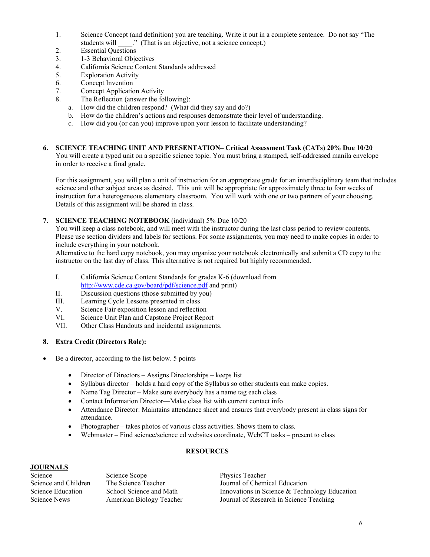- 1. Science Concept (and definition) you are teaching. Write it out in a complete sentence. Do not say "The students will \_\_\_\_." (That is an objective, not a science concept.)
- 2. Essential Questions
- 3. 1-3 Behavioral Objectives
- 4. California Science Content Standards addressed
- 5. Exploration Activity
- 6. Concept Invention
- 7. Concept Application Activity
- 8. The Reflection (answer the following):
	- a. How did the children respond? (What did they say and do?)
	- b. How do the children's actions and responses demonstrate their level of understanding.
	- c. How did you (or can you) improve upon your lesson to facilitate understanding?
- **6. SCIENCE TEACHING UNIT AND PRESENTATION– Critical Assessment Task (CATs) 20% Due 10/20** You will create a typed unit on a specific science topic. You must bring a stamped, self-addressed manila envelope in order to receive a final grade.

For this assignment, you will plan a unit of instruction for an appropriate grade for an interdisciplinary team that includes science and other subject areas as desired. This unit will be appropriate for approximately three to four weeks of instruction for a heterogeneous elementary classroom. You will work with one or two partners of your choosing. Details of this assignment will be shared in class.

**7. SCIENCE TEACHING NOTEBOOK** (individual) 5% Due 10/20

You will keep a class notebook, and will meet with the instructor during the last class period to review contents. Please use section dividers and labels for sections. For some assignments, you may need to make copies in order to include everything in your notebook.

Alternative to the hard copy notebook, you may organize your notebook electronically and submit a CD copy to the instructor on the last day of class. This alternative is not required but highly recommended.

- I. California Science Content Standards for grades K-6 (download from http://www.cde.ca.gov/board/pdf/science.pdf and print)
- II. Discussion questions (those submitted by you)
- III. Learning Cycle Lessons presented in class
- V. Science Fair exposition lesson and reflection
- VI. Science Unit Plan and Capstone Project Report
- VII. Other Class Handouts and incidental assignments.

# **8. Extra Credit (Directors Role):**

- Be a director, according to the list below. 5 points
	- Director of Directors Assigns Directorships keeps list
	- Syllabus director holds a hard copy of the Syllabus so other students can make copies.
	- Name Tag Director Make sure everybody has a name tag each class
	- Contact Information Director—Make class list with current contact info
	- Attendance Director: Maintains attendance sheet and ensures that everybody present in class signs for attendance.
	- Photographer takes photos of various class activities. Shows them to class.
	- Webmaster Find science/science ed websites coordinate, WebCT tasks present to class

# **RESOURCES**

# **JOURNALS**

| Science              | Science Scope            | Physics Teacher                                  |
|----------------------|--------------------------|--------------------------------------------------|
| Science and Children | The Science Teacher      | Journal of Chemical Education                    |
| Science Education    | School Science and Math  | Innovations in Science $\&$ Technology Education |
| Science News         | American Biology Teacher | Journal of Research in Science Teaching          |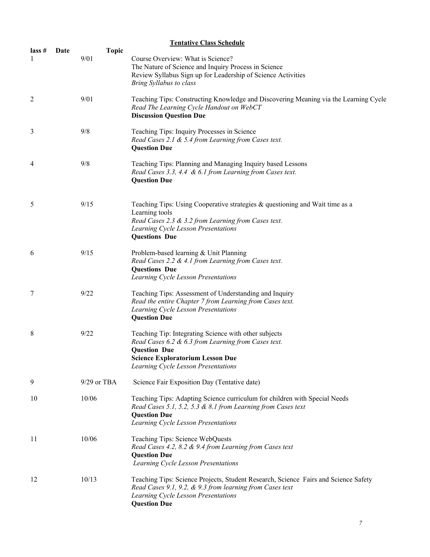|                         | <b>Tentative Class Schedule</b> |                      |                                                                                                                                                                                                                       |  |  |
|-------------------------|---------------------------------|----------------------|-----------------------------------------------------------------------------------------------------------------------------------------------------------------------------------------------------------------------|--|--|
| $\textsf{lass}~\#$<br>1 | Date                            | <b>Topic</b><br>9/01 | Course Overview: What is Science?<br>The Nature of Science and Inquiry Process in Science<br>Review Syllabus Sign up for Leadership of Science Activities<br>Bring Syllabus to class                                  |  |  |
| 2                       |                                 | 9/01                 | Teaching Tips: Constructing Knowledge and Discovering Meaning via the Learning Cycle<br>Read The Learning Cycle Handout on WebCT<br><b>Discussion Question Due</b>                                                    |  |  |
| 3                       |                                 | 9/8                  | Teaching Tips: Inquiry Processes in Science<br>Read Cases 2.1 & 5.4 from Learning from Cases text.<br><b>Question Due</b>                                                                                             |  |  |
| 4                       |                                 | 9/8                  | Teaching Tips: Planning and Managing Inquiry based Lessons<br>Read Cases 3.3, 4.4 & 6.1 from Learning from Cases text.<br><b>Question Due</b>                                                                         |  |  |
| 5                       |                                 | 9/15                 | Teaching Tips: Using Cooperative strategies & questioning and Wait time as a<br>Learning tools<br>Read Cases 2.3 & 3.2 from Learning from Cases text.<br>Learning Cycle Lesson Presentations<br><b>Questions Due</b>  |  |  |
| 6                       |                                 | 9/15                 | Problem-based learning & Unit Planning<br>Read Cases 2.2 & 4.1 from Learning from Cases text.<br><b>Questions Due</b><br>Learning Cycle Lesson Presentations                                                          |  |  |
| 7                       |                                 | 9/22                 | Teaching Tips: Assessment of Understanding and Inquiry<br>Read the entire Chapter 7 from Learning from Cases text.<br>Learning Cycle Lesson Presentations<br><b>Question Due</b>                                      |  |  |
| 8                       |                                 | 9/22                 | Teaching Tip: Integrating Science with other subjects<br>Read Cases 6.2 & 6.3 from Learning from Cases text.<br><b>Question Due</b><br><b>Science Exploratorium Lesson Due</b><br>Learning Cycle Lesson Presentations |  |  |
| 9                       |                                 | 9/29 or TBA          | Science Fair Exposition Day (Tentative date)                                                                                                                                                                          |  |  |
| 10                      |                                 | 10/06                | Teaching Tips: Adapting Science curriculum for children with Special Needs<br>Read Cases 5.1, 5.2, 5.3 & 8.1 from Learning from Cases text<br><b>Question Due</b><br>Learning Cycle Lesson Presentations              |  |  |
| 11                      |                                 | 10/06                | Teaching Tips: Science WebQuests<br>Read Cases 4.2, 8.2 & 9.4 from Learning from Cases text<br><b>Question Due</b><br>Learning Cycle Lesson Presentations                                                             |  |  |
| 12                      |                                 | 10/13                | Teaching Tips: Science Projects, Student Research, Science Fairs and Science Safety<br>Read Cases 9.1, 9.2, & 9.3 from learning from Cases text<br>Learning Cycle Lesson Presentations<br><b>Question Due</b>         |  |  |